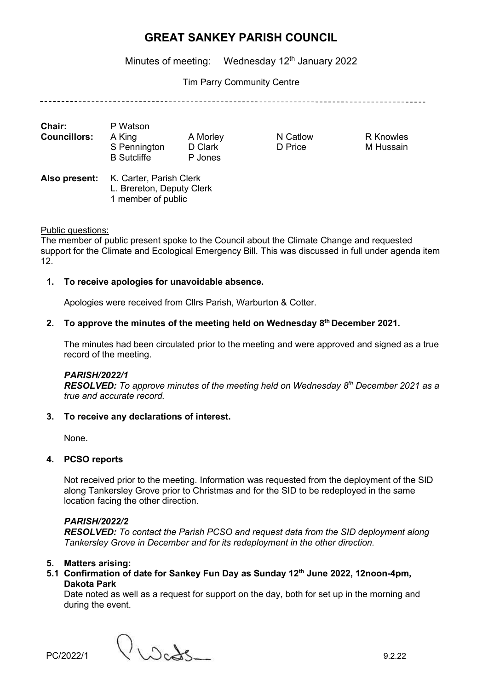Minutes of meeting: Wednesday 12<sup>th</sup> January 2022

Tim Parry Community Centre

| <b>Chair:</b>       | P Watson           |          |
|---------------------|--------------------|----------|
| <b>Councillors:</b> | A King             | A Morley |
|                     | S Pennington       | D Clark  |
|                     | <b>B</b> Sutcliffe | P Jones  |
|                     |                    |          |

N Catlow R Knowles D Price M Hussain

Also present: K. Carter, Parish Clerk L. Brereton, Deputy Clerk 1 member of public

### Public questions:

The member of public present spoke to the Council about the Climate Change and requested support for the Climate and Ecological Emergency Bill. This was discussed in full under agenda item 12.

### **1. To receive apologies for unavoidable absence.**

Apologies were received from Cllrs Parish, Warburton & Cotter.

#### **2. To approve the minutes of the meeting held on Wednesday 8 th December 2021.**

The minutes had been circulated prior to the meeting and were approved and signed as a true record of the meeting.

#### *PARISH/2022/1*

*RESOLVED: To approve minutes of the meeting held on Wednesday 8 th December 2021 as a true and accurate record.*

#### **3. To receive any declarations of interest.**

None.

### **4. PCSO reports**

Not received prior to the meeting. Information was requested from the deployment of the SID along Tankersley Grove prior to Christmas and for the SID to be redeployed in the same location facing the other direction.

### *PARISH/2022/2*

*RESOLVED: To contact the Parish PCSO and request data from the SID deployment along Tankersley Grove in December and for its redeployment in the other direction.*

### **5. Matters arising:**

### **5.1 Confirmation of date for Sankey Fun Day as Sunday 12th June 2022, 12noon-4pm, Dakota Park**

Date noted as well as a request for support on the day, both for set up in the morning and during the event.

 $PC/2022/1$   $\bigcup_{\text{C}} \bigcup_{\text{C}} \bigcup_{\text{C}} \bigcup_{\text{C}} \bigcup_{\text{D}} \bigcup_{\text{D}} \bigcup_{\text{D}} \bigcup_{\text{D}} \bigcup_{\text{D}} \bigcup_{\text{D}} \bigcup_{\text{D}} \bigcup_{\text{D}} \bigcup_{\text{D}} \bigcup_{\text{D}} \bigcup_{\text{D}} \bigcup_{\text{D}} \bigcup_{\text{D}} \bigcup_{\text{D}} \bigcup_{\text{D}} \bigcup_{\text{D}} \bigcup_{\text{D}} \bigcup_{\text{D}} \bigcup_{\text{D}} \big$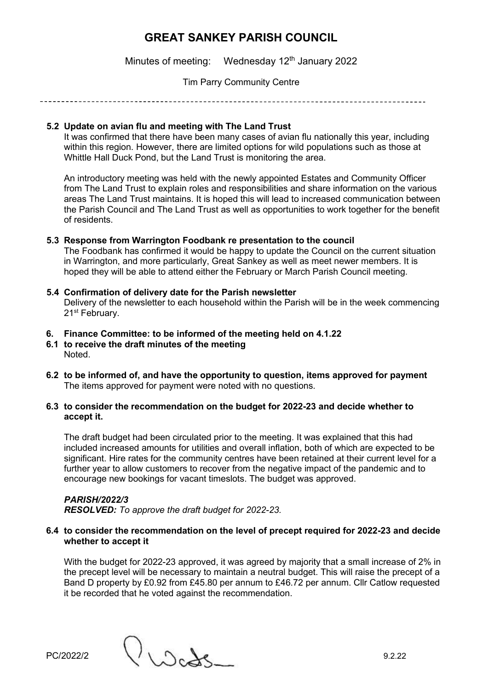Minutes of meeting: Wednesday  $12<sup>th</sup>$  January 2022

### Tim Parry Community Centre

### **5.2 Update on avian flu and meeting with The Land Trust**

It was confirmed that there have been many cases of avian flu nationally this year, including within this region. However, there are limited options for wild populations such as those at Whittle Hall Duck Pond, but the Land Trust is monitoring the area.

An introductory meeting was held with the newly appointed Estates and Community Officer from The Land Trust to explain roles and responsibilities and share information on the various areas The Land Trust maintains. It is hoped this will lead to increased communication between the Parish Council and The Land Trust as well as opportunities to work together for the benefit of residents.

## **5.3 Response from Warrington Foodbank re presentation to the council**

The Foodbank has confirmed it would be happy to update the Council on the current situation in Warrington, and more particularly, Great Sankey as well as meet newer members. It is hoped they will be able to attend either the February or March Parish Council meeting.

## **5.4 Confirmation of delivery date for the Parish newsletter** Delivery of the newsletter to each household within the Parish will be in the week commencing 21<sup>st</sup> February.

## **6. Finance Committee: to be informed of the meeting held on 4.1.22**

- **6.1 to receive the draft minutes of the meeting**  Noted.
- **6.2 to be informed of, and have the opportunity to question, items approved for payment**  The items approved for payment were noted with no questions.

### **6.3 to consider the recommendation on the budget for 2022-23 and decide whether to accept it.**

The draft budget had been circulated prior to the meeting. It was explained that this had included increased amounts for utilities and overall inflation, both of which are expected to be significant. Hire rates for the community centres have been retained at their current level for a further year to allow customers to recover from the negative impact of the pandemic and to encourage new bookings for vacant timeslots. The budget was approved.

## *PARISH/2022/3 RESOLVED: To approve the draft budget for 2022-23.*

### **6.4 to consider the recommendation on the level of precept required for 2022-23 and decide whether to accept it**

With the budget for 2022-23 approved, it was agreed by majority that a small increase of 2% in the precept level will be necessary to maintain a neutral budget. This will raise the precept of a Band D property by £0.92 from £45.80 per annum to £46.72 per annum. Cllr Catlow requested it be recorded that he voted against the recommendation.

PC/2022/2 ()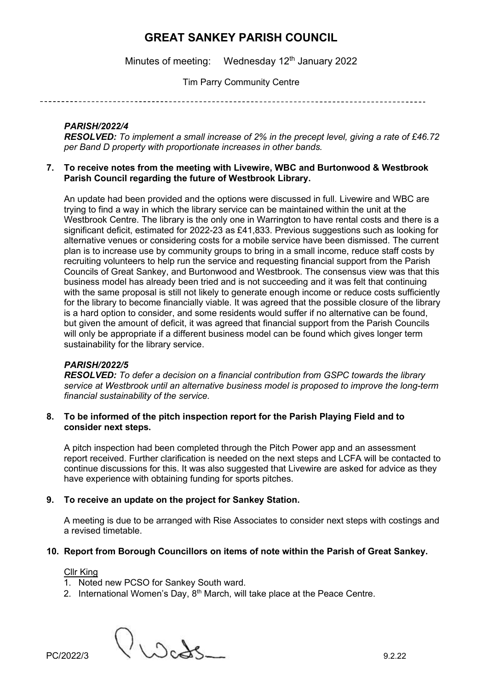Minutes of meeting: Wednesday  $12<sup>th</sup>$  January 2022

Tim Parry Community Centre

### *PARISH/2022/4*

*RESOLVED: To implement a small increase of 2% in the precept level, giving a rate of £46.72 per Band D property with proportionate increases in other bands.*

**7. To receive notes from the meeting with Livewire, WBC and Burtonwood & Westbrook Parish Council regarding the future of Westbrook Library.**

An update had been provided and the options were discussed in full. Livewire and WBC are trying to find a way in which the library service can be maintained within the unit at the Westbrook Centre. The library is the only one in Warrington to have rental costs and there is a significant deficit, estimated for 2022-23 as £41,833. Previous suggestions such as looking for alternative venues or considering costs for a mobile service have been dismissed. The current plan is to increase use by community groups to bring in a small income, reduce staff costs by recruiting volunteers to help run the service and requesting financial support from the Parish Councils of Great Sankey, and Burtonwood and Westbrook. The consensus view was that this business model has already been tried and is not succeeding and it was felt that continuing with the same proposal is still not likely to generate enough income or reduce costs sufficiently for the library to become financially viable. It was agreed that the possible closure of the library is a hard option to consider, and some residents would suffer if no alternative can be found, but given the amount of deficit, it was agreed that financial support from the Parish Councils will only be appropriate if a different business model can be found which gives longer term sustainability for the library service.

### *PARISH/2022/5*

*RESOLVED: To defer a decision on a financial contribution from GSPC towards the library service at Westbrook until an alternative business model is proposed to improve the long-term financial sustainability of the service.*

### **8. To be informed of the pitch inspection report for the Parish Playing Field and to consider next steps.**

A pitch inspection had been completed through the Pitch Power app and an assessment report received. Further clarification is needed on the next steps and LCFA will be contacted to continue discussions for this. It was also suggested that Livewire are asked for advice as they have experience with obtaining funding for sports pitches.

### **9. To receive an update on the project for Sankey Station.**

A meeting is due to be arranged with Rise Associates to consider next steps with costings and a revised timetable.

### **10. Report from Borough Councillors on items of note within the Parish of Great Sankey.**

Cllr King

- 1. Noted new PCSO for Sankey South ward.
- 2. International Women's Day,  $8<sup>th</sup>$  March, will take place at the Peace Centre.

 $PC/2022/3$   $\bigcup_{\text{C} \text{odd}}$